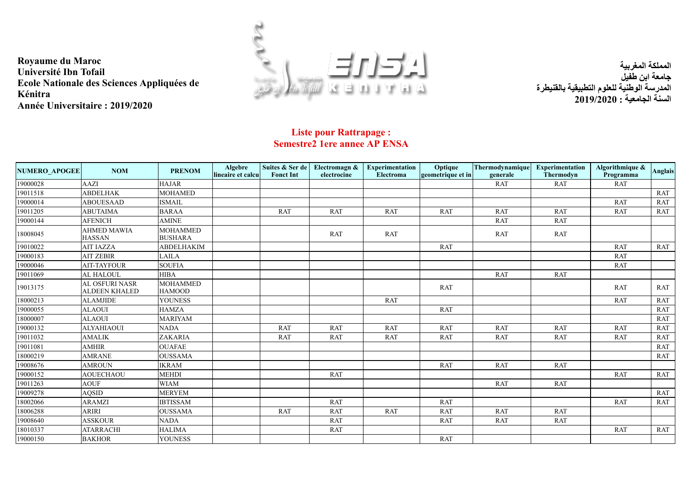



**المملكة المغربیة جامعة ابن طفیل المدرسة الوطنیة للعلوم التطبیقیة بالقنیطرة السنة الجامعیة : 2019/2020**

## **Liste pour Rattrapage : Semestre2 1ere annee AP ENSA**

| <b>NUMERO APOGEE</b> | <b>NOM</b>                                    | <b>PRENOM</b>                     | <b>Algebre</b><br>lineaire et calcu | Suites & Ser de<br><b>Fonct Int</b> | Electromagn &<br>electrocine | <b>Experimentation</b><br>Electroma | Optique<br>geometrique et in | Thermodynamique<br>generale | <b>Experimentation</b><br><b>Thermodyn</b> | Algorithmique &<br>Programma | <b>Anglais</b> |
|----------------------|-----------------------------------------------|-----------------------------------|-------------------------------------|-------------------------------------|------------------------------|-------------------------------------|------------------------------|-----------------------------|--------------------------------------------|------------------------------|----------------|
| 19000028             | AAZI                                          | <b>HAJAR</b>                      |                                     |                                     |                              |                                     |                              | <b>RAT</b>                  | <b>RAT</b>                                 | RAT                          |                |
| 19011518             | <b>ABDELHAK</b>                               | <b>MOHAMED</b>                    |                                     |                                     |                              |                                     |                              |                             |                                            |                              | <b>RAT</b>     |
| 19000014             | <b>ABOUESAAD</b>                              | <b>ISMAIL</b>                     |                                     |                                     |                              |                                     |                              |                             |                                            | <b>RAT</b>                   | <b>RAT</b>     |
| 19011205             | <b>ABUTAIMA</b>                               | <b>BARAA</b>                      |                                     | <b>RAT</b>                          | <b>RAT</b>                   | <b>RAT</b>                          | <b>RAT</b>                   | <b>RAT</b>                  | <b>RAT</b>                                 | <b>RAT</b>                   | <b>RAT</b>     |
| 19000144             | <b>AFENICH</b>                                | <b>AMINE</b>                      |                                     |                                     |                              |                                     |                              | <b>RAT</b>                  | <b>RAT</b>                                 |                              |                |
| 18008045             | <b>AHMED MAWIA</b><br><b>HASSAN</b>           | <b>MOHAMMED</b><br><b>BUSHARA</b> |                                     |                                     | <b>RAT</b>                   | <b>RAT</b>                          |                              | <b>RAT</b>                  | <b>RAT</b>                                 |                              |                |
| 19010022             | <b>AIT IAZZA</b>                              | <b>ABDELHAKIM</b>                 |                                     |                                     |                              |                                     | <b>RAT</b>                   |                             |                                            | <b>RAT</b>                   | <b>RAT</b>     |
| 19000183             | <b>AIT ZEBIR</b>                              | <b>LAILA</b>                      |                                     |                                     |                              |                                     |                              |                             |                                            | <b>RAT</b>                   |                |
| 19000046             | <b>AIT-TAYFOUR</b>                            | <b>SOUFIA</b>                     |                                     |                                     |                              |                                     |                              |                             |                                            | <b>RAT</b>                   |                |
| 19011069             | <b>AL HALOUL</b>                              | <b>HIBA</b>                       |                                     |                                     |                              |                                     |                              | <b>RAT</b>                  | <b>RAT</b>                                 |                              |                |
| 19013175             | <b>AL OSFURI NASR</b><br><b>ALDEEN KHALED</b> | <b>MOHAMMED</b><br><b>HAMOOD</b>  |                                     |                                     |                              |                                     | <b>RAT</b>                   |                             |                                            | <b>RAT</b>                   | <b>RAT</b>     |
| 18000213             | <b>ALAMJIDE</b>                               | <b>YOUNESS</b>                    |                                     |                                     |                              | <b>RAT</b>                          |                              |                             |                                            | <b>RAT</b>                   | <b>RAT</b>     |
| 19000055             | <b>ALAOUI</b>                                 | <b>HAMZA</b>                      |                                     |                                     |                              |                                     | <b>RAT</b>                   |                             |                                            |                              | <b>RAT</b>     |
| 18000007             | <b>ALAOUI</b>                                 | <b>MARIYAM</b>                    |                                     |                                     |                              |                                     |                              |                             |                                            |                              | <b>RAT</b>     |
| 19000132             | <b>ALYAHIAOUI</b>                             | <b>NADA</b>                       |                                     | RAT                                 | <b>RAT</b>                   | <b>RAT</b>                          | <b>RAT</b>                   | <b>RAT</b>                  | <b>RAT</b>                                 | <b>RAT</b>                   | <b>RAT</b>     |
| 19011032             | <b>AMALIK</b>                                 | ZAKARIA                           |                                     | <b>RAT</b>                          | <b>RAT</b>                   | RAT                                 | <b>RAT</b>                   | <b>RAT</b>                  | <b>RAT</b>                                 | <b>RAT</b>                   | <b>RAT</b>     |
| 19011081             | <b>AMHIR</b>                                  | <b>OUAFAE</b>                     |                                     |                                     |                              |                                     |                              |                             |                                            |                              | <b>RAT</b>     |
| 18000219             | <b>AMRANE</b>                                 | <b>OUSSAMA</b>                    |                                     |                                     |                              |                                     |                              |                             |                                            |                              | <b>RAT</b>     |
| 19008676             | <b>AMROUN</b>                                 | <b>IKRAM</b>                      |                                     |                                     |                              |                                     | <b>RAT</b>                   | <b>RAT</b>                  | <b>RAT</b>                                 |                              |                |
| 19000152             | <b>AOUECHAOU</b>                              | <b>MEHDI</b>                      |                                     |                                     | <b>RAT</b>                   |                                     |                              |                             |                                            | <b>RAT</b>                   | RAT            |
| 19011263             | <b>AOUF</b>                                   | <b>WIAM</b>                       |                                     |                                     |                              |                                     |                              | RAT                         | <b>RAT</b>                                 |                              |                |
| 19009278             | <b>AQSID</b>                                  | <b>MERYEM</b>                     |                                     |                                     |                              |                                     |                              |                             |                                            |                              | <b>RAT</b>     |
| 18002066             | <b>ARAMZI</b>                                 | <b>IBTISSAM</b>                   |                                     |                                     | <b>RAT</b>                   |                                     | <b>RAT</b>                   |                             |                                            | <b>RAT</b>                   | <b>RAT</b>     |
| 18006288             | <b>ARIRI</b>                                  | <b>OUSSAMA</b>                    |                                     | <b>RAT</b>                          | <b>RAT</b>                   | <b>RAT</b>                          | <b>RAT</b>                   | <b>RAT</b>                  | <b>RAT</b>                                 |                              |                |
| 19008640             | <b>ASSKOUR</b>                                | <b>NADA</b>                       |                                     |                                     | <b>RAT</b>                   |                                     | RAT                          | RAT                         | <b>RAT</b>                                 |                              |                |
| 18010337             | <b>ATARRACHI</b>                              | <b>HALIMA</b>                     |                                     |                                     | <b>RAT</b>                   |                                     |                              |                             |                                            | RAT                          | <b>RAT</b>     |
| 19000150             | <b>BAKHOR</b>                                 | <b>YOUNESS</b>                    |                                     |                                     |                              |                                     | <b>RAT</b>                   |                             |                                            |                              |                |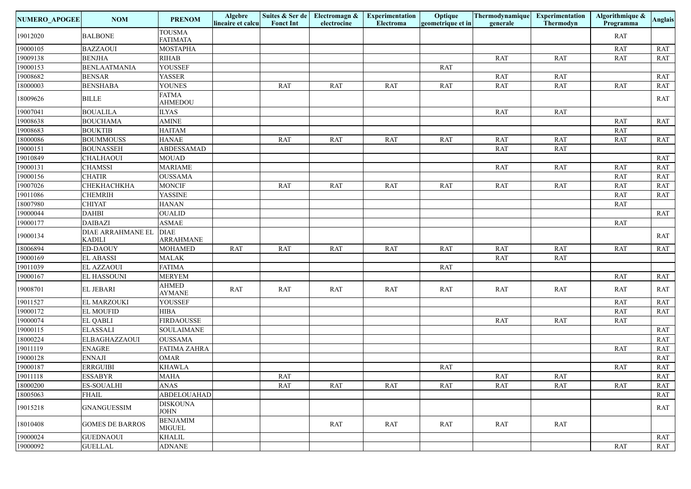| NUMERO_APOGEE | <b>NOM</b>                                | <b>PRENOM</b>                    | <b>Algebre</b><br>lineaire et calcu | <b>Fonct Int</b> | Suites & Ser de Electromagn &<br>electrocine | <b>Experimentation</b><br>Electroma | Optique<br>geometrique et in | Thermodynamique<br>generale | Experimentation<br>Thermodyn | Algorithmique &<br>Programma | <b>Anglais</b>              |
|---------------|-------------------------------------------|----------------------------------|-------------------------------------|------------------|----------------------------------------------|-------------------------------------|------------------------------|-----------------------------|------------------------------|------------------------------|-----------------------------|
| 19012020      | <b>BALBONE</b>                            | <b>TOUSMA</b><br><b>FATIMATA</b> |                                     |                  |                                              |                                     |                              |                             |                              | <b>RAT</b>                   |                             |
| 19000105      | <b>BAZZAOUI</b>                           | <b>MOSTAPHA</b>                  |                                     |                  |                                              |                                     |                              |                             |                              | <b>RAT</b>                   | RAT                         |
| 19009138      | <b>BENJHA</b>                             | <b>RIHAB</b>                     |                                     |                  |                                              |                                     |                              | RAT                         | <b>RAT</b>                   | <b>RAT</b>                   | RAT                         |
| 19000153      | <b>BENLAATMANIA</b>                       | YOUSSEF                          |                                     |                  |                                              |                                     | <b>RAT</b>                   |                             |                              |                              |                             |
| 19008682      | <b>BENSAR</b>                             | YASSER                           |                                     |                  |                                              |                                     |                              | RAT                         | RAT                          |                              | RAT                         |
| 18000003      | <b>BENSHABA</b>                           | <b>YOUNES</b>                    |                                     | RAT              | RAT                                          | RAT                                 | RAT                          | <b>RAT</b>                  | <b>RAT</b>                   | <b>RAT</b>                   | RAT                         |
| 18009626      | <b>BILLE</b>                              | <b>FATMA</b><br><b>AHMEDOU</b>   |                                     |                  |                                              |                                     |                              |                             |                              |                              | RAT                         |
| 19007041      | <b>BOUALILA</b>                           | <b>ILYAS</b>                     |                                     |                  |                                              |                                     |                              | RAT                         | <b>RAT</b>                   |                              |                             |
| 19008638      | <b>BOUCHAMA</b>                           | <b>AMINE</b>                     |                                     |                  |                                              |                                     |                              |                             |                              | RAT                          | RAT                         |
| 19008683      | <b>BOUKTIB</b>                            | <b>HAITAM</b>                    |                                     |                  |                                              |                                     |                              |                             |                              | <b>RAT</b>                   |                             |
| 18000086      | <b>BOUMMOUSS</b>                          | <b>HANAE</b>                     |                                     | <b>RAT</b>       | RAT                                          | <b>RAT</b>                          | RAT                          | <b>RAT</b>                  | RAT                          | <b>RAT</b>                   | RAT                         |
| 19000151      | <b>BOUNASSEH</b>                          | <b>ABDESSAMAD</b>                |                                     |                  |                                              |                                     |                              | <b>RAT</b>                  | <b>RAT</b>                   |                              |                             |
| 19010849      | <b>CHALHAOUI</b>                          | <b>MOUAD</b>                     |                                     |                  |                                              |                                     |                              |                             |                              |                              | RAT                         |
| 19000131      | <b>CHAMSSI</b>                            | <b>MARIAME</b>                   |                                     |                  |                                              |                                     |                              | <b>RAT</b>                  | <b>RAT</b>                   | <b>RAT</b>                   | RAT                         |
| 19000156      | <b>CHATIR</b>                             | <b>OUSSAMA</b>                   |                                     |                  |                                              |                                     |                              |                             |                              | <b>RAT</b>                   | RAT                         |
| 19007026      | СНЕКНАСНКНА                               | <b>MONCIF</b>                    |                                     | RAT              | RAT                                          | <b>RAT</b>                          | RAT                          | <b>RAT</b>                  | <b>RAT</b>                   | <b>RAT</b>                   | RAT                         |
| 19011086      | <b>CHEMRIH</b>                            | <b>YASSINE</b>                   |                                     |                  |                                              |                                     |                              |                             |                              | <b>RAT</b>                   | RAT                         |
| 18007980      | <b>CHIYAT</b>                             | <b>HANAN</b>                     |                                     |                  |                                              |                                     |                              |                             |                              | <b>RAT</b>                   |                             |
| 19000044      | <b>DAHBI</b>                              | <b>OUALID</b>                    |                                     |                  |                                              |                                     |                              |                             |                              |                              | RAT                         |
| 19000177      | <b>DAIBAZI</b>                            | <b>ASMAE</b>                     |                                     |                  |                                              |                                     |                              |                             |                              | <b>RAT</b>                   |                             |
| 19000134      | <b>DIAE ARRAHMANE EL</b><br><b>KADILI</b> | <b>DIAE</b><br><b>ARRAHMANE</b>  |                                     |                  |                                              |                                     |                              |                             |                              |                              | RAT                         |
| 18006894      | <b>ED-DAOUY</b>                           | <b>MOHAMED</b>                   | RAT                                 | RAT              | <b>RAT</b>                                   | <b>RAT</b>                          | RAT                          | <b>RAT</b>                  | RAT                          | RAT                          | RAT                         |
| 19000169      | <b>EL ABASSI</b>                          | <b>MALAK</b>                     |                                     |                  |                                              |                                     |                              | <b>RAT</b>                  | RAT                          |                              |                             |
| 19011039      | <b>EL AZZAOUI</b>                         | <b>FATIMA</b>                    |                                     |                  |                                              |                                     | <b>RAT</b>                   |                             |                              |                              |                             |
| 19000167      | <b>EL HASSOUNI</b>                        | <b>MERYEM</b>                    |                                     |                  |                                              |                                     |                              |                             |                              | <b>RAT</b>                   | RAT                         |
| 19008701      | <b>EL JEBARI</b>                          | <b>AHMED</b><br><b>AYMANE</b>    | RAT                                 | RAT              | RAT                                          | RAT                                 | RAT                          | RAT                         | <b>RAT</b>                   | <b>RAT</b>                   | RAT                         |
| 19011527      | EL MARZOUKI                               | YOUSSEF                          |                                     |                  |                                              |                                     |                              |                             |                              | <b>RAT</b>                   | $\ensuremath{\mathsf{RAT}}$ |
| 19000172      | <b>EL MOUFID</b>                          | <b>HIBA</b>                      |                                     |                  |                                              |                                     |                              |                             |                              | <b>RAT</b>                   | RAT                         |
| 19000074      | <b>EL QABLI</b>                           | <b>FIRDAOUSSE</b>                |                                     |                  |                                              |                                     |                              | <b>RAT</b>                  | RAT                          | <b>RAT</b>                   |                             |
| 19000115      | <b>ELASSALI</b>                           | <b>SOULAIMANE</b>                |                                     |                  |                                              |                                     |                              |                             |                              |                              | RAT                         |
| 18000224      | ELBAGHAZZAOUI                             | <b>OUSSAMA</b>                   |                                     |                  |                                              |                                     |                              |                             |                              |                              | RAT                         |
| 19011119      | <b>ENAGRE</b>                             | <b>FATIMA ZAHRA</b>              |                                     |                  |                                              |                                     |                              |                             |                              | <b>RAT</b>                   | RAT                         |
| 19000128      | <b>ENNAJI</b>                             | <b>OMAR</b>                      |                                     |                  |                                              |                                     |                              |                             |                              |                              | RAT                         |
| 19000187      | <b>ERRGUIBI</b>                           | <b>KHAWLA</b>                    |                                     |                  |                                              |                                     | RAT                          |                             |                              | RAT                          | RAT                         |
| 19011118      | <b>ESSABYR</b>                            | <b>MAHA</b>                      |                                     | RAT              |                                              |                                     |                              | <b>RAT</b>                  | <b>RAT</b>                   |                              | RAT                         |
| 18000200      | <b>ES-SOUALHI</b>                         | <b>ANAS</b>                      |                                     | RAT              | <b>RAT</b>                                   | RAT                                 | RAT                          | RAT                         | <b>RAT</b>                   | RAT                          | RAT                         |
| 18005063      | <b>FHAIL</b>                              | <b>ABDELOUAHAD</b>               |                                     |                  |                                              |                                     |                              |                             |                              |                              | RAT                         |
| 19015218      | <b>GNANGUESSIM</b>                        | <b>DISKOUNA</b><br>JOHN          |                                     |                  |                                              |                                     |                              |                             |                              |                              | RAT                         |
| 18010408      | <b>GOMES DE BARROS</b>                    | <b>BENJAMIM</b><br><b>MIGUEL</b> |                                     |                  | RAT                                          | RAT                                 | RAT                          | RAT                         | RAT                          |                              |                             |
| 19000024      | <b>GUEDNAOUI</b>                          | <b>KHALIL</b>                    |                                     |                  |                                              |                                     |                              |                             |                              |                              | RAT                         |
| 19000092      | <b>GUELLAL</b>                            | <b>ADNANE</b>                    |                                     |                  |                                              |                                     |                              |                             |                              | RAT                          | RAT                         |